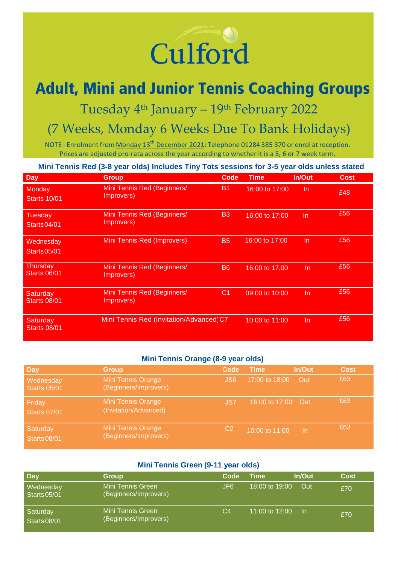# Culford

## **Adult, Mini and Junior Tennis Coaching Groups**

Tuesday 4<sup>th</sup> January – 19<sup>th</sup> February 2022

### (7 Weeks, Monday 6 Weeks Due To Bank Holidays)

NOTE - Enrolment from Monday 13<sup>th</sup> December 2021: Telephone 01284 385 370 or enrol at reception. Prices are adjusted pro-rata across the year according to whether it is a 5, 6 or 7 week term.

**Mini Tennis Red (3-8 year olds) Includes Tiny Tots sessions for 3-5 year olds unless stated**

| Day                                   | Group                                     | Code           | <b>Time</b>    | In/Out    | Cost |
|---------------------------------------|-------------------------------------------|----------------|----------------|-----------|------|
| Monday<br><b>Starts 10/01</b>         | Mini Tennis Red (Beginners/<br>Improvers) | <b>B1</b>      | 16:00 to 17:00 | <b>In</b> | £48  |
| <b>Tuesday</b><br><b>Starts 04/01</b> | Mini Tennis Red (Beginners/<br>Improvers) | <b>B3</b>      | 16:00 to 17:00 | In        | £56  |
| Wednesday<br><b>Starts 05/01</b>      | <b>Mini Tennis Red (Improvers)</b>        | <b>B5</b>      | 16:00 to 17:00 | In        | £56  |
| Thursday<br><b>Starts 06/01</b>       | Mini Tennis Red (Beginners/<br>Improvers) | B <sub>6</sub> | 16,00 to 17,00 | In        | £56  |
| Saturday<br><b>Starts 08/01</b>       | Mini Tennis Red (Beginners/<br>Improvers) | C <sub>1</sub> | 09:00 to 10:00 | In        | £56  |
| Saturday<br><b>Starts 08/01</b>       | Mini Tennis Red (Invitation/Advanced) C7  |                | 10:00 to 11:00 | In        | £56  |

#### **Mini Tennis Orange (8-9 year olds)**

| Day                              | <b>Group</b>                                       | Code            | <b>Time</b>    | In/Out     | Cost |
|----------------------------------|----------------------------------------------------|-----------------|----------------|------------|------|
| Wednesday<br><b>Starts 05/01</b> | <b>Mini Tennis Orange</b><br>(Beginners/Improvers) | JS <sub>6</sub> | 17:00 to 18:00 | Out        | £63  |
| Friday<br><b>Starts 07/01</b>    | <b>Mini Tennis Orange</b><br>(Invitation/Advanced) | JS7             | 16:00 to 17:00 | <b>Cut</b> | £63  |
| Saturday<br><b>Starts 08/01</b>  | <b>Mini Tennis Orange</b><br>(Beginners/Improvers) | C <sub>2</sub>  | 10:00 to 11:00 | -In        | £63  |

#### **Mini Tennis Green (9-11 year olds)**

| Day                              | <b>Group</b>                               | Code | Time           | In/Out | Cost |
|----------------------------------|--------------------------------------------|------|----------------|--------|------|
| Wednesday<br><b>Starts 05/01</b> | Mini Tennis Green<br>(Beginners/Improvers) | JF6  | 18:00 to 19:00 | Out    | £70  |
| Saturday<br>Starts 08/01         | Mini Tennis Green<br>(Beginners/Improvers) | C4   | 11:00 to 12:00 | -In    | £70  |